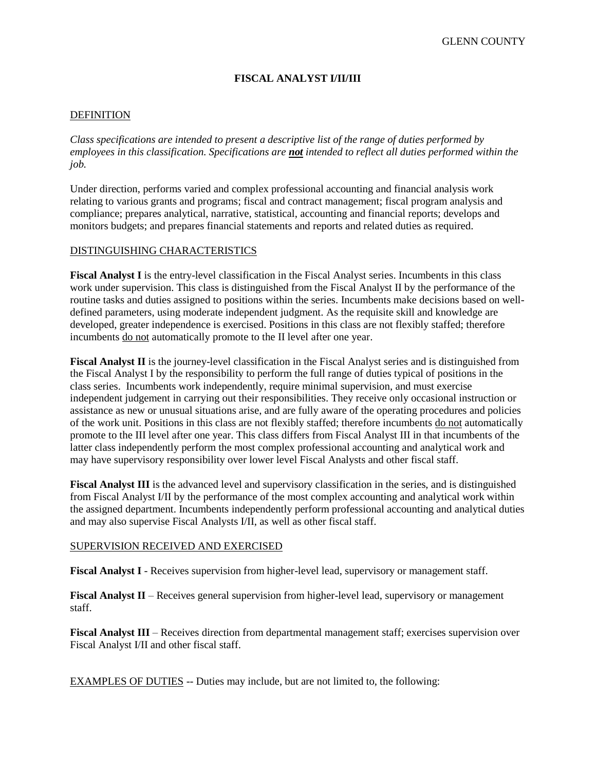# **FISCAL ANALYST I/II/III**

### DEFINITION

*Class specifications are intended to present a descriptive list of the range of duties performed by employees in this classification. Specifications are not intended to reflect all duties performed within the job.*

Under direction, performs varied and complex professional accounting and financial analysis work relating to various grants and programs; fiscal and contract management; fiscal program analysis and compliance; prepares analytical, narrative, statistical, accounting and financial reports; develops and monitors budgets; and prepares financial statements and reports and related duties as required.

#### DISTINGUISHING CHARACTERISTICS

**Fiscal Analyst I** is the entry-level classification in the Fiscal Analyst series. Incumbents in this class work under supervision. This class is distinguished from the Fiscal Analyst II by the performance of the routine tasks and duties assigned to positions within the series. Incumbents make decisions based on welldefined parameters, using moderate independent judgment. As the requisite skill and knowledge are developed, greater independence is exercised. Positions in this class are not flexibly staffed; therefore incumbents do not automatically promote to the II level after one year.

**Fiscal Analyst II** is the journey-level classification in the Fiscal Analyst series and is distinguished from the Fiscal Analyst I by the responsibility to perform the full range of duties typical of positions in the class series. Incumbents work independently, require minimal supervision, and must exercise independent judgement in carrying out their responsibilities. They receive only occasional instruction or assistance as new or unusual situations arise, and are fully aware of the operating procedures and policies of the work unit. Positions in this class are not flexibly staffed; therefore incumbents do not automatically promote to the III level after one year. This class differs from Fiscal Analyst III in that incumbents of the latter class independently perform the most complex professional accounting and analytical work and may have supervisory responsibility over lower level Fiscal Analysts and other fiscal staff.

**Fiscal Analyst III** is the advanced level and supervisory classification in the series, and is distinguished from Fiscal Analyst I/II by the performance of the most complex accounting and analytical work within the assigned department. Incumbents independently perform professional accounting and analytical duties and may also supervise Fiscal Analysts I/II, as well as other fiscal staff.

#### SUPERVISION RECEIVED AND EXERCISED

**Fiscal Analyst I** - Receives supervision from higher-level lead, supervisory or management staff.

**Fiscal Analyst II** – Receives general supervision from higher-level lead, supervisory or management staff.

**Fiscal Analyst III** – Receives direction from departmental management staff; exercises supervision over Fiscal Analyst I/II and other fiscal staff.

EXAMPLES OF DUTIES -- Duties may include, but are not limited to, the following: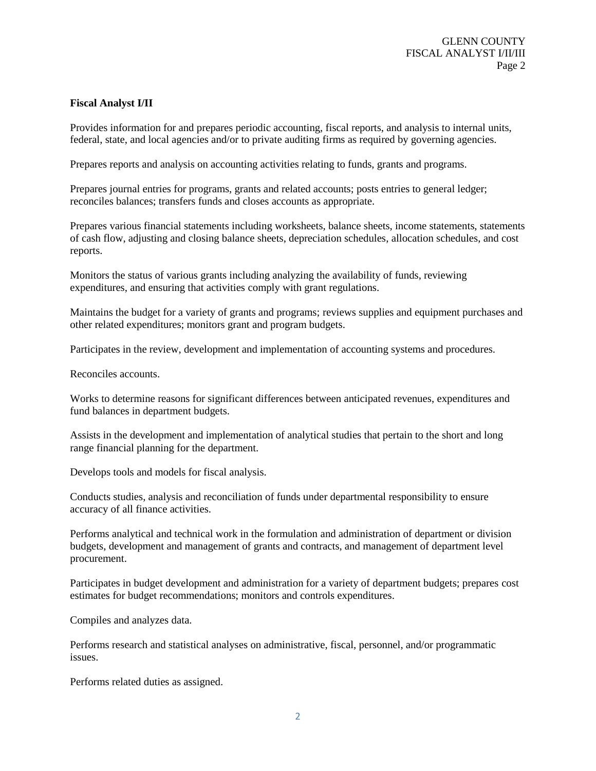### **Fiscal Analyst I/II**

Provides information for and prepares periodic accounting, fiscal reports, and analysis to internal units, federal, state, and local agencies and/or to private auditing firms as required by governing agencies.

Prepares reports and analysis on accounting activities relating to funds, grants and programs.

Prepares journal entries for programs, grants and related accounts; posts entries to general ledger; reconciles balances; transfers funds and closes accounts as appropriate.

Prepares various financial statements including worksheets, balance sheets, income statements, statements of cash flow, adjusting and closing balance sheets, depreciation schedules, allocation schedules, and cost reports.

Monitors the status of various grants including analyzing the availability of funds, reviewing expenditures, and ensuring that activities comply with grant regulations.

Maintains the budget for a variety of grants and programs; reviews supplies and equipment purchases and other related expenditures; monitors grant and program budgets.

Participates in the review, development and implementation of accounting systems and procedures.

Reconciles accounts.

Works to determine reasons for significant differences between anticipated revenues, expenditures and fund balances in department budgets.

Assists in the development and implementation of analytical studies that pertain to the short and long range financial planning for the department.

Develops tools and models for fiscal analysis.

Conducts studies, analysis and reconciliation of funds under departmental responsibility to ensure accuracy of all finance activities.

Performs analytical and technical work in the formulation and administration of department or division budgets, development and management of grants and contracts, and management of department level procurement.

Participates in budget development and administration for a variety of department budgets; prepares cost estimates for budget recommendations; monitors and controls expenditures.

Compiles and analyzes data.

Performs research and statistical analyses on administrative, fiscal, personnel, and/or programmatic issues.

Performs related duties as assigned.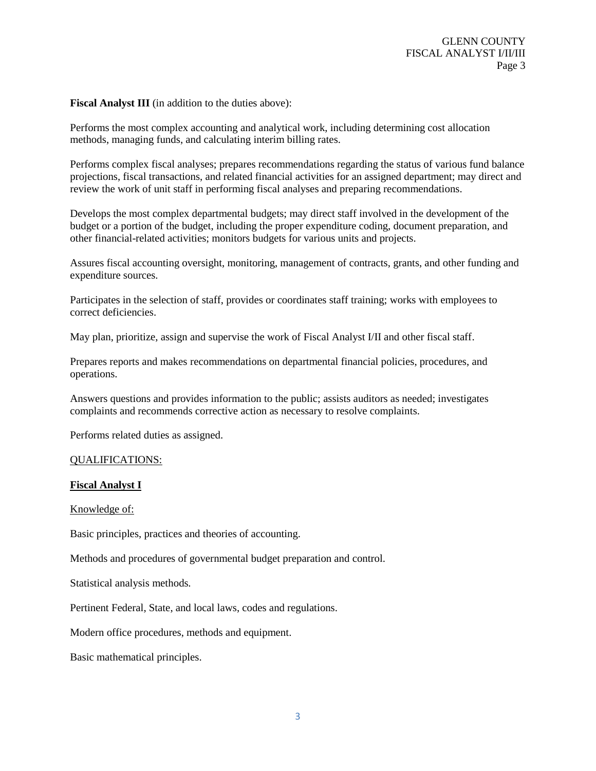**Fiscal Analyst III** (in addition to the duties above):

Performs the most complex accounting and analytical work, including determining cost allocation methods, managing funds, and calculating interim billing rates.

Performs complex fiscal analyses; prepares recommendations regarding the status of various fund balance projections, fiscal transactions, and related financial activities for an assigned department; may direct and review the work of unit staff in performing fiscal analyses and preparing recommendations.

Develops the most complex departmental budgets; may direct staff involved in the development of the budget or a portion of the budget, including the proper expenditure coding, document preparation, and other financial-related activities; monitors budgets for various units and projects.

Assures fiscal accounting oversight, monitoring, management of contracts, grants, and other funding and expenditure sources.

Participates in the selection of staff, provides or coordinates staff training; works with employees to correct deficiencies.

May plan, prioritize, assign and supervise the work of Fiscal Analyst I/II and other fiscal staff.

Prepares reports and makes recommendations on departmental financial policies, procedures, and operations.

Answers questions and provides information to the public; assists auditors as needed; investigates complaints and recommends corrective action as necessary to resolve complaints.

Performs related duties as assigned.

#### QUALIFICATIONS:

#### **Fiscal Analyst I**

#### Knowledge of:

Basic principles, practices and theories of accounting.

Methods and procedures of governmental budget preparation and control.

Statistical analysis methods.

Pertinent Federal, State, and local laws, codes and regulations.

Modern office procedures, methods and equipment.

Basic mathematical principles.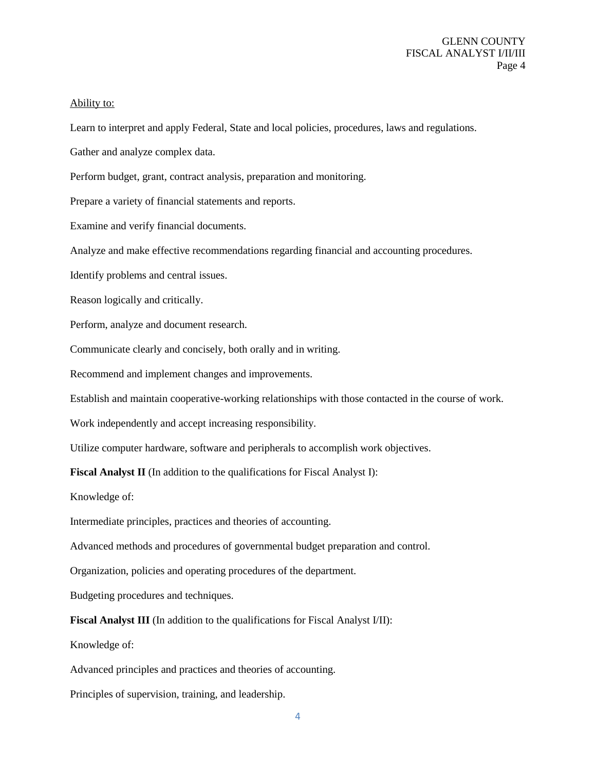#### Ability to:

Learn to interpret and apply Federal, State and local policies, procedures, laws and regulations.

Gather and analyze complex data.

Perform budget, grant, contract analysis, preparation and monitoring.

Prepare a variety of financial statements and reports.

Examine and verify financial documents.

Analyze and make effective recommendations regarding financial and accounting procedures.

Identify problems and central issues.

Reason logically and critically.

Perform, analyze and document research.

Communicate clearly and concisely, both orally and in writing.

Recommend and implement changes and improvements.

Establish and maintain cooperative-working relationships with those contacted in the course of work.

Work independently and accept increasing responsibility.

Utilize computer hardware, software and peripherals to accomplish work objectives.

**Fiscal Analyst II** (In addition to the qualifications for Fiscal Analyst I):

Knowledge of:

Intermediate principles, practices and theories of accounting.

Advanced methods and procedures of governmental budget preparation and control.

Organization, policies and operating procedures of the department.

Budgeting procedures and techniques.

**Fiscal Analyst III** (In addition to the qualifications for Fiscal Analyst I/II):

Knowledge of:

Advanced principles and practices and theories of accounting.

Principles of supervision, training, and leadership.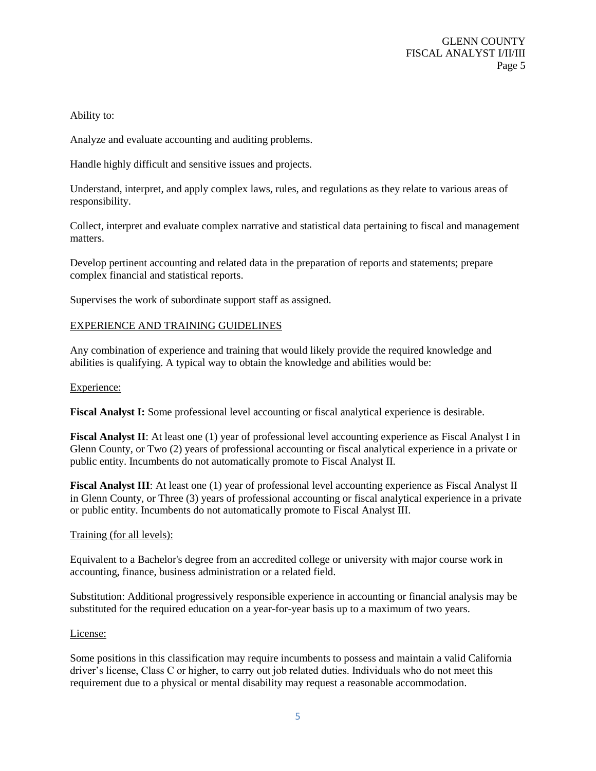Ability to:

Analyze and evaluate accounting and auditing problems.

Handle highly difficult and sensitive issues and projects.

Understand, interpret, and apply complex laws, rules, and regulations as they relate to various areas of responsibility.

Collect, interpret and evaluate complex narrative and statistical data pertaining to fiscal and management matters.

Develop pertinent accounting and related data in the preparation of reports and statements; prepare complex financial and statistical reports.

Supervises the work of subordinate support staff as assigned.

# EXPERIENCE AND TRAINING GUIDELINES

Any combination of experience and training that would likely provide the required knowledge and abilities is qualifying. A typical way to obtain the knowledge and abilities would be:

### Experience:

**Fiscal Analyst I:** Some professional level accounting or fiscal analytical experience is desirable.

**Fiscal Analyst II**: At least one (1) year of professional level accounting experience as Fiscal Analyst I in Glenn County, or Two (2) years of professional accounting or fiscal analytical experience in a private or public entity. Incumbents do not automatically promote to Fiscal Analyst II.

**Fiscal Analyst III**: At least one (1) year of professional level accounting experience as Fiscal Analyst II in Glenn County, or Three (3) years of professional accounting or fiscal analytical experience in a private or public entity. Incumbents do not automatically promote to Fiscal Analyst III.

## Training (for all levels):

Equivalent to a Bachelor's degree from an accredited college or university with major course work in accounting, finance, business administration or a related field.

Substitution: Additional progressively responsible experience in accounting or financial analysis may be substituted for the required education on a year-for-year basis up to a maximum of two years.

## License:

Some positions in this classification may require incumbents to possess and maintain a valid California driver's license, Class C or higher, to carry out job related duties. Individuals who do not meet this requirement due to a physical or mental disability may request a reasonable accommodation.